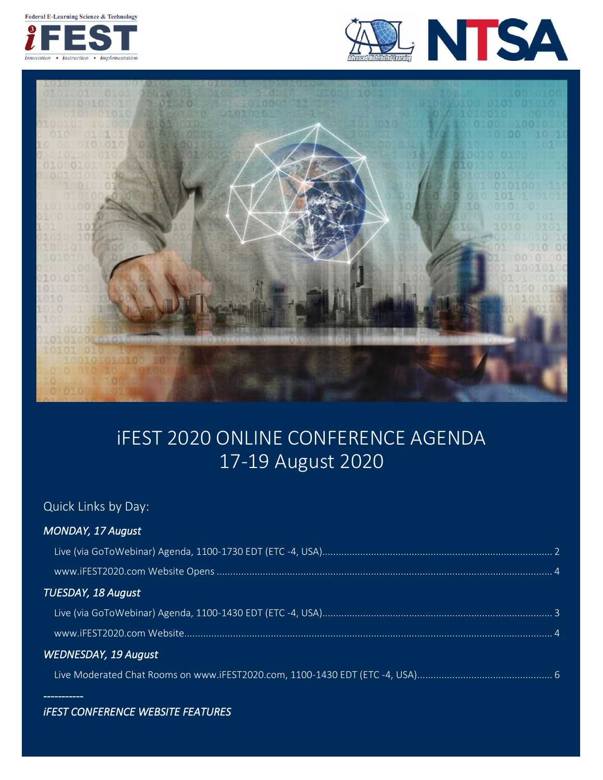Federal E-Learning Science & Technology







# iFEST 2020 ONLINE CONFERENCE AGENDA 17-19 August 2020

### Quick Links by Day:

*[MONDAY, 17 August](#page-1-0)* 

*-----------* 

| <b>TUESDAY, 18 August</b>   |  |
|-----------------------------|--|
|                             |  |
|                             |  |
| <b>WEDNESDAY, 19 August</b> |  |
|                             |  |

# *[iFEST CONFERENCE WEBSITE FEATURES](#page-3-0)*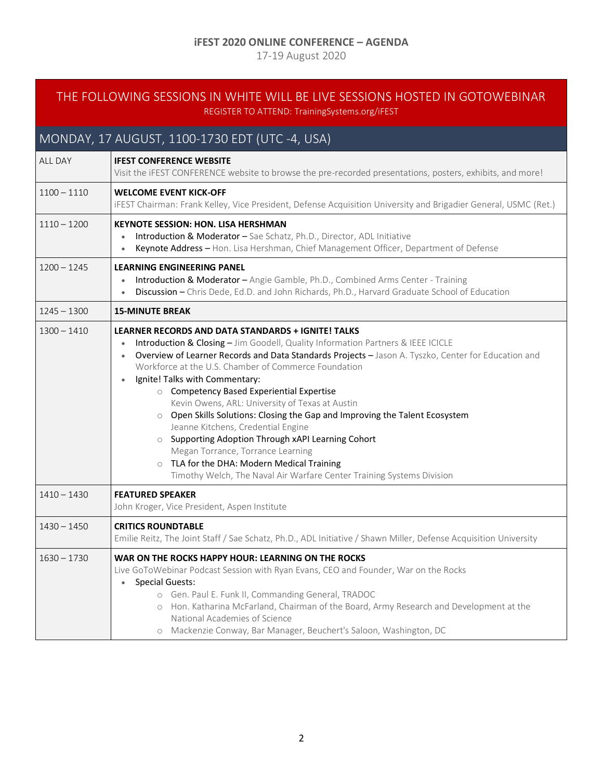### **iFEST 2020 ONLINE CONFERENCE – AGENDA**

17-19 August 2020

### <span id="page-1-0"></span>THE FOLLOWING SESSIONS IN WHITE WILL BE LIVE SESSIONS HOSTED IN GOTOWEBINAR REGISTER TO ATTEND: TrainingSystems.org/iFEST

# MONDAY, 17 AUGUST, 1100-1730 EDT (UTC -4, USA)

| <b>ALL DAY</b> | <b>IFEST CONFERENCE WEBSITE</b><br>Visit the iFEST CONFERENCE website to browse the pre-recorded presentations, posters, exhibits, and more!                                                                                                                                                                                                                                                                                                                                                                                                                                                                                                                                                                                                                                                       |  |
|----------------|----------------------------------------------------------------------------------------------------------------------------------------------------------------------------------------------------------------------------------------------------------------------------------------------------------------------------------------------------------------------------------------------------------------------------------------------------------------------------------------------------------------------------------------------------------------------------------------------------------------------------------------------------------------------------------------------------------------------------------------------------------------------------------------------------|--|
| $1100 - 1110$  | <b>WELCOME EVENT KICK-OFF</b><br>IFEST Chairman: Frank Kelley, Vice President, Defense Acquisition University and Brigadier General, USMC (Ret.)                                                                                                                                                                                                                                                                                                                                                                                                                                                                                                                                                                                                                                                   |  |
| $1110 - 1200$  | <b>KEYNOTE SESSION: HON. LISA HERSHMAN</b><br>Introduction & Moderator - Sae Schatz, Ph.D., Director, ADL Initiative<br>Keynote Address - Hon. Lisa Hershman, Chief Management Officer, Department of Defense<br>$\bullet$                                                                                                                                                                                                                                                                                                                                                                                                                                                                                                                                                                         |  |
| $1200 - 1245$  | <b>LEARNING ENGINEERING PANEL</b><br>Introduction & Moderator - Angie Gamble, Ph.D., Combined Arms Center - Training<br>$\bullet$<br>Discussion - Chris Dede, Ed.D. and John Richards, Ph.D., Harvard Graduate School of Education<br>$\bullet$                                                                                                                                                                                                                                                                                                                                                                                                                                                                                                                                                    |  |
| $1245 - 1300$  | <b>15-MINUTE BREAK</b>                                                                                                                                                                                                                                                                                                                                                                                                                                                                                                                                                                                                                                                                                                                                                                             |  |
| $1300 - 1410$  | <b>LEARNER RECORDS AND DATA STANDARDS + IGNITE! TALKS</b><br>Introduction & Closing - Jim Goodell, Quality Information Partners & IEEE ICICLE<br>Overview of Learner Records and Data Standards Projects - Jason A. Tyszko, Center for Education and<br>$\bullet$<br>Workforce at the U.S. Chamber of Commerce Foundation<br>Ignite! Talks with Commentary:<br>○ Competency Based Experiential Expertise<br>Kevin Owens, ARL: University of Texas at Austin<br>o Open Skills Solutions: Closing the Gap and Improving the Talent Ecosystem<br>Jeanne Kitchens, Credential Engine<br>o Supporting Adoption Through xAPI Learning Cohort<br>Megan Torrance, Torrance Learning<br>O TLA for the DHA: Modern Medical Training<br>Timothy Welch, The Naval Air Warfare Center Training Systems Division |  |
| $1410 - 1430$  | <b>FEATURED SPEAKER</b><br>John Kroger, Vice President, Aspen Institute                                                                                                                                                                                                                                                                                                                                                                                                                                                                                                                                                                                                                                                                                                                            |  |
| $1430 - 1450$  | <b>CRITICS ROUNDTABLE</b><br>Emilie Reitz, The Joint Staff / Sae Schatz, Ph.D., ADL Initiative / Shawn Miller, Defense Acquisition University                                                                                                                                                                                                                                                                                                                                                                                                                                                                                                                                                                                                                                                      |  |
| $1630 - 1730$  | WAR ON THE ROCKS HAPPY HOUR: LEARNING ON THE ROCKS<br>Live GoToWebinar Podcast Session with Ryan Evans, CEO and Founder, War on the Rocks<br><b>Special Guests:</b><br>$\bullet$<br>o Gen. Paul E. Funk II, Commanding General, TRADOC<br>o Hon. Katharina McFarland, Chairman of the Board, Army Research and Development at the<br>National Academies of Science<br>o Mackenzie Conway, Bar Manager, Beuchert's Saloon, Washington, DC                                                                                                                                                                                                                                                                                                                                                           |  |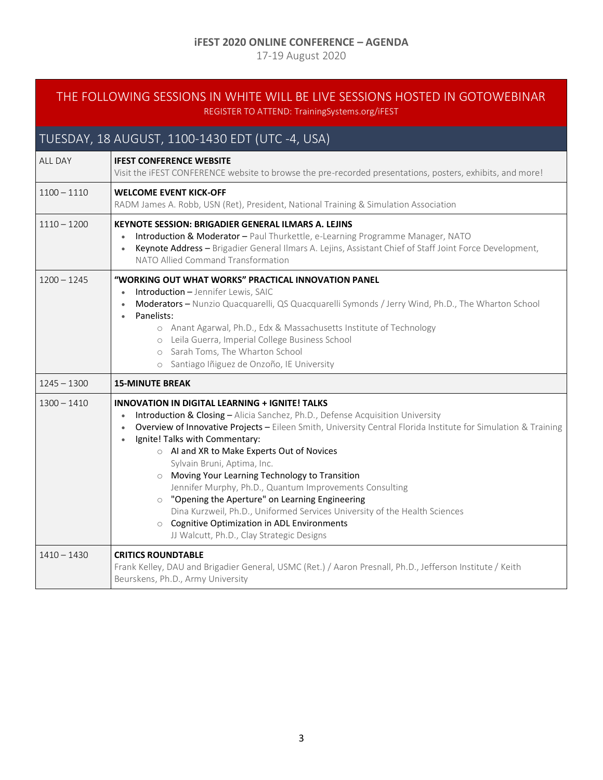### **iFEST 2020 ONLINE CONFERENCE – AGENDA**

17-19 August 2020

### <span id="page-2-0"></span>THE FOLLOWING SESSIONS IN WHITE WILL BE LIVE SESSIONS HOSTED IN GOTOWEBINAR REGISTER TO ATTEND: TrainingSystems.org/iFEST

# TUESDAY, 18 AUGUST, 1100-1430 EDT (UTC -4, USA)

| <b>ALL DAY</b> | <b>IFEST CONFERENCE WEBSITE</b><br>Visit the iFEST CONFERENCE website to browse the pre-recorded presentations, posters, exhibits, and more!                                                                                                                                                                                                                                                                                                                                                                                                                                                                                                                                                                                                                                 |  |  |
|----------------|------------------------------------------------------------------------------------------------------------------------------------------------------------------------------------------------------------------------------------------------------------------------------------------------------------------------------------------------------------------------------------------------------------------------------------------------------------------------------------------------------------------------------------------------------------------------------------------------------------------------------------------------------------------------------------------------------------------------------------------------------------------------------|--|--|
| $1100 - 1110$  | <b>WELCOME EVENT KICK-OFF</b><br>RADM James A. Robb, USN (Ret), President, National Training & Simulation Association                                                                                                                                                                                                                                                                                                                                                                                                                                                                                                                                                                                                                                                        |  |  |
| $1110 - 1200$  | KEYNOTE SESSION: BRIGADIER GENERAL ILMARS A. LEJINS<br>Introduction & Moderator - Paul Thurkettle, e-Learning Programme Manager, NATO<br>Keynote Address - Brigadier General Ilmars A. Lejins, Assistant Chief of Staff Joint Force Development,<br>NATO Allied Command Transformation                                                                                                                                                                                                                                                                                                                                                                                                                                                                                       |  |  |
| $1200 - 1245$  | "WORKING OUT WHAT WORKS" PRACTICAL INNOVATION PANEL<br><b>Introduction - Jennifer Lewis, SAIC</b><br>$\bullet$<br>Moderators - Nunzio Quacquarelli, QS Quacquarelli Symonds / Jerry Wind, Ph.D., The Wharton School<br>$\bullet$<br>Panelists:<br>$\bullet$<br>o Anant Agarwal, Ph.D., Edx & Massachusetts Institute of Technology<br>o Leila Guerra, Imperial College Business School<br>o Sarah Toms, The Wharton School<br>o Santiago Iñiguez de Onzoño, IE University                                                                                                                                                                                                                                                                                                    |  |  |
| $1245 - 1300$  | <b>15-MINUTE BREAK</b>                                                                                                                                                                                                                                                                                                                                                                                                                                                                                                                                                                                                                                                                                                                                                       |  |  |
| $1300 - 1410$  | <b>INNOVATION IN DIGITAL LEARNING + IGNITE! TALKS</b><br>Introduction & Closing - Alicia Sanchez, Ph.D., Defense Acquisition University<br>$\bullet$<br>Overview of Innovative Projects - Eileen Smith, University Central Florida Institute for Simulation & Training<br>$\bullet$<br>Ignite! Talks with Commentary:<br>$\bullet$<br>○ Al and XR to Make Experts Out of Novices<br>Sylvain Bruni, Aptima, Inc.<br>O Moving Your Learning Technology to Transition<br>Jennifer Murphy, Ph.D., Quantum Improvements Consulting<br>o "Opening the Aperture" on Learning Engineering<br>Dina Kurzweil, Ph.D., Uniformed Services University of the Health Sciences<br><b>Cognitive Optimization in ADL Environments</b><br>$\circ$<br>JJ Walcutt, Ph.D., Clay Strategic Designs |  |  |
| $1410 - 1430$  | <b>CRITICS ROUNDTABLE</b><br>Frank Kelley, DAU and Brigadier General, USMC (Ret.) / Aaron Presnall, Ph.D., Jefferson Institute / Keith                                                                                                                                                                                                                                                                                                                                                                                                                                                                                                                                                                                                                                       |  |  |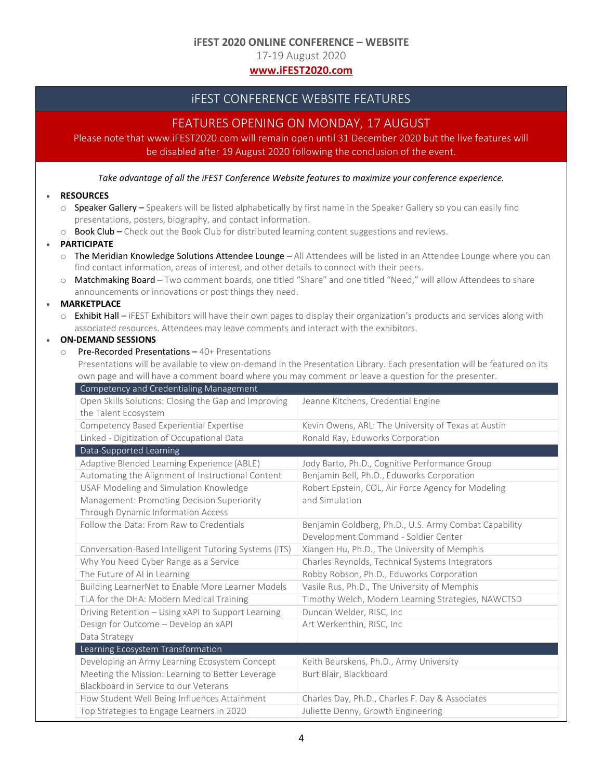#### **iFEST 2020 ONLINE CONFERENCE – WEBSITE**

17-19 August 2020

### **[www.iFEST2020.com](http://www.ifest2020.com/)**

### iFEST CONFERENCE WEBSITE FEATURES

### FEATURES OPENING ON MONDAY, 17 AUGUST

<span id="page-3-0"></span>Please note that www.iFEST2020.com will remain open until 31 December 2020 but the live features will be disabled after 19 August 2020 following the conclusion of the event.

*Take advantage of all the iFEST Conference Website features to maximize your conference experience.*

#### • **RESOURCES**

- $\circ$  Speaker Gallery Speakers will be listed alphabetically by first name in the Speaker Gallery so you can easily find presentations, posters, biography, and contact information.
- $\circ$  Book Club Check out the Book Club for distributed learning content suggestions and reviews.

#### • **PARTICIPATE**

- $\circ$  The Meridian Knowledge Solutions Attendee Lounge All Attendees will be listed in an Attendee Lounge where you can find contact information, areas of interest, and other details to connect with their peers.
- o Matchmaking Board Two comment boards, one titled "Share" and one titled "Need," will allow Attendees to share announcements or innovations or post things they need.

#### • **MARKETPLACE**

o Exhibit Hall – iFEST Exhibitors will have their own pages to display their organization's products and services along with associated resources. Attendees may leave comments and interact with the exhibitors.

### • **ON-DEMAND SESSIONS**

- o Pre-Recorded Presentations 40+ Presentations
	- Presentations will be available to view on-demand in the Presentation Library. Each presentation will be featured on its own page and will have a comment board where you may comment or leave a question for the presenter.

| Competency and Credentialing Management               |                                                       |
|-------------------------------------------------------|-------------------------------------------------------|
| Open Skills Solutions: Closing the Gap and Improving  | Jeanne Kitchens, Credential Engine                    |
| the Talent Ecosystem                                  |                                                       |
| Competency Based Experiential Expertise               | Kevin Owens, ARL: The University of Texas at Austin   |
| Linked - Digitization of Occupational Data            | Ronald Ray, Eduworks Corporation                      |
| Data-Supported Learning                               |                                                       |
| Adaptive Blended Learning Experience (ABLE)           | Jody Barto, Ph.D., Cognitive Performance Group        |
| Automating the Alignment of Instructional Content     | Benjamin Bell, Ph.D., Eduworks Corporation            |
| USAF Modeling and Simulation Knowledge                | Robert Epstein, COL, Air Force Agency for Modeling    |
| Management: Promoting Decision Superiority            | and Simulation                                        |
| Through Dynamic Information Access                    |                                                       |
| Follow the Data: From Raw to Credentials              | Benjamin Goldberg, Ph.D., U.S. Army Combat Capability |
|                                                       | Development Command - Soldier Center                  |
| Conversation-Based Intelligent Tutoring Systems (ITS) | Xiangen Hu, Ph.D., The University of Memphis          |
| Why You Need Cyber Range as a Service                 | Charles Reynolds, Technical Systems Integrators       |
| The Future of AI in Learning                          | Robby Robson, Ph.D., Eduworks Corporation             |
| Building LearnerNet to Enable More Learner Models     | Vasile Rus, Ph.D., The University of Memphis          |
| TLA for the DHA: Modern Medical Training              | Timothy Welch, Modern Learning Strategies, NAWCTSD    |
| Driving Retention - Using xAPI to Support Learning    | Duncan Welder, RISC, Inc                              |
| Design for Outcome - Develop an xAPI                  | Art Werkenthin, RISC, Inc                             |
| Data Strategy                                         |                                                       |
| Learning Ecosystem Transformation                     |                                                       |
| Developing an Army Learning Ecosystem Concept         | Keith Beurskens, Ph.D., Army University               |
| Meeting the Mission: Learning to Better Leverage      | Burt Blair, Blackboard                                |
| Blackboard in Service to our Veterans                 |                                                       |
| How Student Well Being Influences Attainment          | Charles Day, Ph.D., Charles F. Day & Associates       |
| Top Strategies to Engage Learners in 2020             | Juliette Denny, Growth Engineering                    |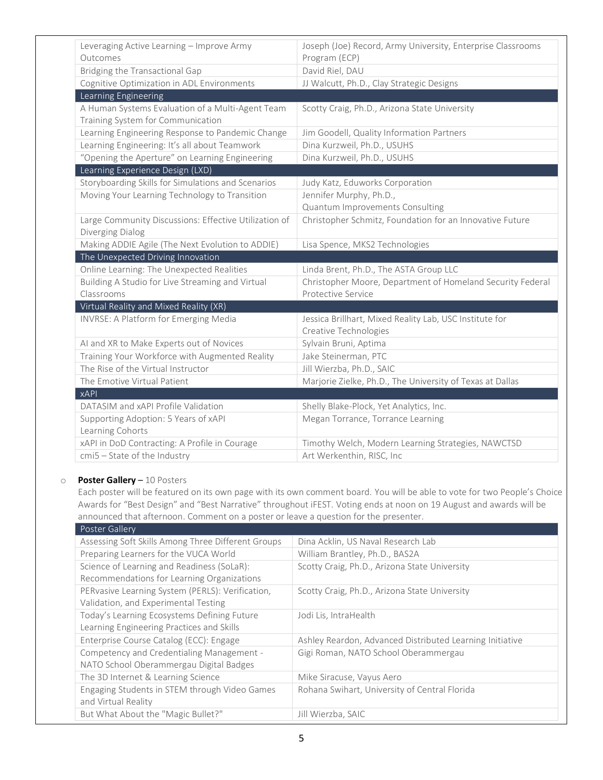| Leveraging Active Learning - Improve Army             | Joseph (Joe) Record, Army University, Enterprise Classrooms |
|-------------------------------------------------------|-------------------------------------------------------------|
| Outcomes                                              | Program (ECP)                                               |
| Bridging the Transactional Gap                        | David Riel, DAU                                             |
| Cognitive Optimization in ADL Environments            | JJ Walcutt, Ph.D., Clay Strategic Designs                   |
| Learning Engineering                                  |                                                             |
| A Human Systems Evaluation of a Multi-Agent Team      | Scotty Craig, Ph.D., Arizona State University               |
| Training System for Communication                     |                                                             |
| Learning Engineering Response to Pandemic Change      | Jim Goodell, Quality Information Partners                   |
| Learning Engineering: It's all about Teamwork         | Dina Kurzweil, Ph.D., USUHS                                 |
| "Opening the Aperture" on Learning Engineering        | Dina Kurzweil, Ph.D., USUHS                                 |
| Learning Experience Design (LXD)                      |                                                             |
| Storyboarding Skills for Simulations and Scenarios    | Judy Katz, Eduworks Corporation                             |
| Moving Your Learning Technology to Transition         | Jennifer Murphy, Ph.D.,                                     |
|                                                       | Quantum Improvements Consulting                             |
| Large Community Discussions: Effective Utilization of | Christopher Schmitz, Foundation for an Innovative Future    |
| Diverging Dialog                                      |                                                             |
| Making ADDIE Agile (The Next Evolution to ADDIE)      | Lisa Spence, MKS2 Technologies                              |
| The Unexpected Driving Innovation                     |                                                             |
| Online Learning: The Unexpected Realities             | Linda Brent, Ph.D., The ASTA Group LLC                      |
| Building A Studio for Live Streaming and Virtual      | Christopher Moore, Department of Homeland Security Federal  |
| Classrooms                                            | Protective Service                                          |
| Virtual Reality and Mixed Reality (XR)                |                                                             |
| INVRSE: A Platform for Emerging Media                 | Jessica Brillhart, Mixed Reality Lab, USC Institute for     |
|                                                       | Creative Technologies                                       |
| AI and XR to Make Experts out of Novices              | Sylvain Bruni, Aptima                                       |
| Training Your Workforce with Augmented Reality        | Jake Steinerman, PTC                                        |
| The Rise of the Virtual Instructor                    | Jill Wierzba, Ph.D., SAIC                                   |
| The Emotive Virtual Patient                           | Marjorie Zielke, Ph.D., The University of Texas at Dallas   |
| <b>xAPI</b>                                           |                                                             |
| DATASIM and xAPI Profile Validation                   | Shelly Blake-Plock, Yet Analytics, Inc.                     |
| Supporting Adoption: 5 Years of xAPI                  | Megan Torrance, Torrance Learning                           |
| Learning Cohorts                                      |                                                             |
| xAPI in DoD Contracting: A Profile in Courage         | Timothy Welch, Modern Learning Strategies, NAWCTSD          |
| cmi5 - State of the Industry                          | Art Werkenthin, RISC, Inc                                   |

#### o **Poster Gallery** – 10 Posters

Each poster will be featured on its own page with its own comment board. You will be able to vote for two People's Choice Awards for "Best Design" and "Best Narrative" throughout iFEST. Voting ends at noon on 19 August and awards will be announced that afternoon. Comment on a poster or leave a question for the presenter.

| Poster Gallery                                     |                                                          |
|----------------------------------------------------|----------------------------------------------------------|
| Assessing Soft Skills Among Three Different Groups | Dina Acklin, US Naval Research Lab                       |
| Preparing Learners for the VUCA World              | William Brantley, Ph.D., BAS2A                           |
| Science of Learning and Readiness (SoLaR):         | Scotty Craig, Ph.D., Arizona State University            |
| Recommendations for Learning Organizations         |                                                          |
| PERvasive Learning System (PERLS): Verification,   | Scotty Craig, Ph.D., Arizona State University            |
| Validation, and Experimental Testing               |                                                          |
| Today's Learning Ecosystems Defining Future        | Jodi Lis, IntraHealth                                    |
| Learning Engineering Practices and Skills          |                                                          |
| Enterprise Course Catalog (ECC): Engage            | Ashley Reardon, Advanced Distributed Learning Initiative |
| Competency and Credentialing Management -          | Gigi Roman, NATO School Oberammergau                     |
| NATO School Oberammergau Digital Badges            |                                                          |
| The 3D Internet & Learning Science                 | Mike Siracuse, Vayus Aero                                |
| Engaging Students in STEM through Video Games      | Rohana Swihart, University of Central Florida            |
| and Virtual Reality                                |                                                          |
| But What About the "Magic Bullet?"                 | Jill Wierzba, SAIC                                       |